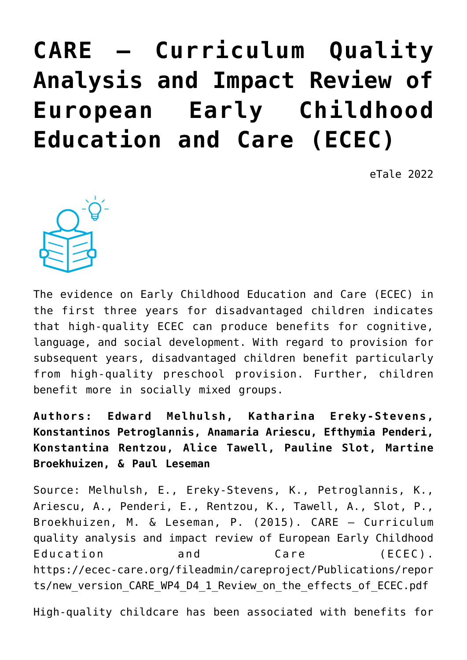# **[CARE – Curriculum Quality](https://dev.taleafrica.com/2021/03/29/care-curriculum-quality-analysis-and-impact-review-of-european-early-childhood-education-and-care-ecec/) [Analysis and Impact Review of](https://dev.taleafrica.com/2021/03/29/care-curriculum-quality-analysis-and-impact-review-of-european-early-childhood-education-and-care-ecec/) [European Early Childhood](https://dev.taleafrica.com/2021/03/29/care-curriculum-quality-analysis-and-impact-review-of-european-early-childhood-education-and-care-ecec/) [Education and Care \(ECEC\)](https://dev.taleafrica.com/2021/03/29/care-curriculum-quality-analysis-and-impact-review-of-european-early-childhood-education-and-care-ecec/)**

eTale 2022



The evidence on Early Childhood Education and Care (ECEC) in the first three years for disadvantaged children indicates that high-quality ECEC can produce benefits for cognitive, language, and social development. With regard to provision for subsequent years, disadvantaged children benefit particularly from high-quality preschool provision. Further, children benefit more in socially mixed groups.

**Authors: Edward Melhulsh, Katharina Ereky-Stevens, Konstantinos Petroglannis, Anamaria Ariescu, Efthymia Penderi, Konstantina Rentzou, Alice Tawell, Pauline Slot, Martine Broekhuizen, & Paul Leseman**

Source: Melhulsh, E., Ereky-Stevens, K., Petroglannis, K., Ariescu, A., Penderi, E., Rentzou, K., Tawell, A., Slot, P., Broekhuizen, M. & Leseman, P. (2015). CARE – Curriculum quality analysis and impact review of European Early Childhood Education and Care (ECEC). https://ecec-care.org/fileadmin/careproject/Publications/repor ts/new version CARE WP4 D4 1 Review on the effects of ECEC.pdf

High-quality childcare has been associated with benefits for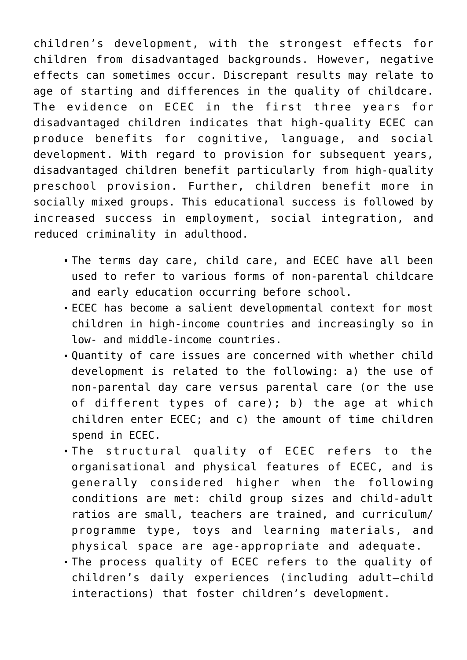children's development, with the strongest effects for children from disadvantaged backgrounds. However, negative effects can sometimes occur. Discrepant results may relate to age of starting and differences in the quality of childcare. The evidence on ECEC in the first three years for disadvantaged children indicates that high-quality ECEC can produce benefits for cognitive, language, and social development. With regard to provision for subsequent years, disadvantaged children benefit particularly from high-quality preschool provision. Further, children benefit more in socially mixed groups. This educational success is followed by increased success in employment, social integration, and reduced criminality in adulthood.

- The terms day care, child care, and ECEC have all been used to refer to various forms of non-parental childcare and early education occurring before school.
- ECEC has become a salient developmental context for most children in high-income countries and increasingly so in low- and middle-income countries.
- Quantity of care issues are concerned with whether child development is related to the following: a) the use of non-parental day care versus parental care (or the use of different types of care); b) the age at which children enter ECEC; and c) the amount of time children spend in ECEC.
- The structural quality of ECEC refers to the organisational and physical features of ECEC, and is generally considered higher when the following conditions are met: child group sizes and child-adult ratios are small, teachers are trained, and curriculum/ programme type, toys and learning materials, and physical space are age-appropriate and adequate.
- The process quality of ECEC refers to the quality of children's daily experiences (including adult–child interactions) that foster children's development.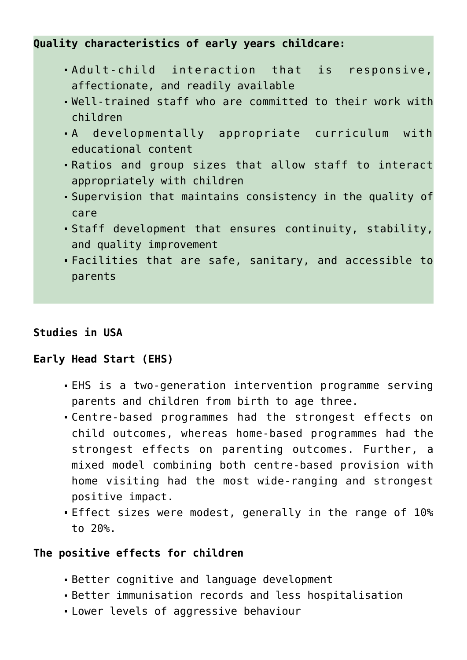**Quality characteristics of early years childcare:**

- Adult-child interaction that is responsive, affectionate, and readily available
- Well-trained staff who are committed to their work with children
- A developmentally appropriate curriculum with educational content
- Ratios and group sizes that allow staff to interact appropriately with children
- Supervision that maintains consistency in the quality of care
- Staff development that ensures continuity, stability, and quality improvement
- Facilities that are safe, sanitary, and accessible to parents

#### **Studies in USA**

#### **Early Head Start (EHS)**

- EHS is a two-generation intervention programme serving parents and children from birth to age three.
- Centre-based programmes had the strongest effects on child outcomes, whereas home-based programmes had the strongest effects on parenting outcomes. Further, a mixed model combining both centre-based provision with home visiting had the most wide-ranging and strongest positive impact.
- Effect sizes were modest, generally in the range of 10% to 20%.

#### **The positive effects for children**

- Better cognitive and language development
- Better immunisation records and less hospitalisation
- Lower levels of aggressive behaviour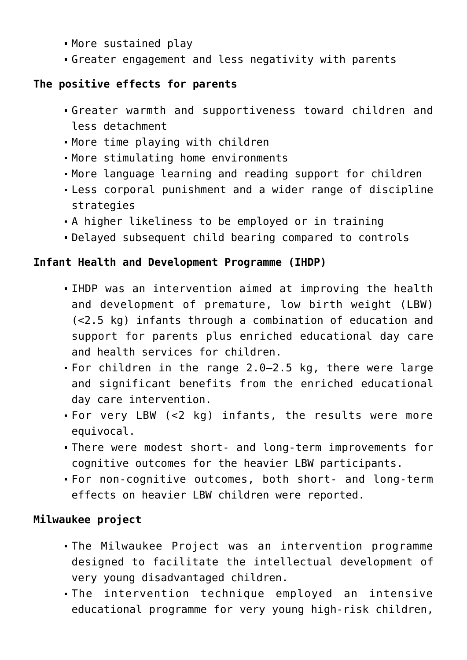- More sustained play
- Greater engagement and less negativity with parents

## **The positive effects for parents**

- Greater warmth and supportiveness toward children and less detachment
- More time playing with children
- More stimulating home environments
- More language learning and reading support for children
- Less corporal punishment and a wider range of discipline strategies
- A higher likeliness to be employed or in training
- Delayed subsequent child bearing compared to controls

# **Infant Health and Development Programme (IHDP)**

- IHDP was an intervention aimed at improving the health and development of premature, low birth weight (LBW) (<2.5 kg) infants through a combination of education and support for parents plus enriched educational day care and health services for children.
- For children in the range 2.0–2.5 kg, there were large and significant benefits from the enriched educational day care intervention.
- For very LBW (<2 kg) infants, the results were more equivocal.
- There were modest short- and long-term improvements for cognitive outcomes for the heavier LBW participants.
- For non-cognitive outcomes, both short- and long-term effects on heavier LBW children were reported.

# **Milwaukee project**

- The Milwaukee Project was an intervention programme designed to facilitate the intellectual development of very young disadvantaged children.
- The intervention technique employed an intensive educational programme for very young high-risk children,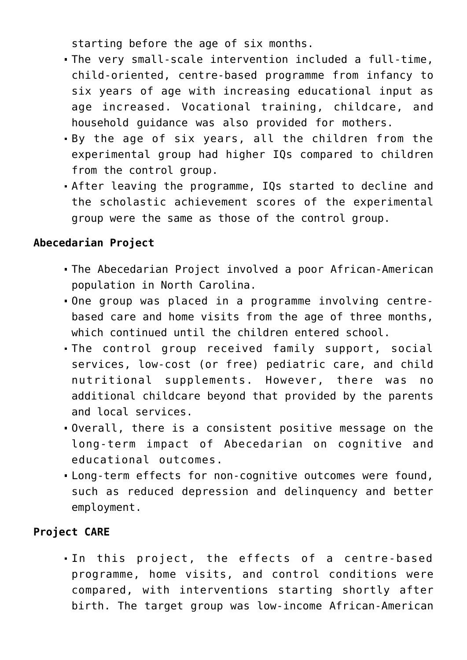starting before the age of six months.

- The very small-scale intervention included a full-time, child-oriented, centre-based programme from infancy to six years of age with increasing educational input as age increased. Vocational training, childcare, and household guidance was also provided for mothers.
- By the age of six years, all the children from the experimental group had higher IQs compared to children from the control group.
- After leaving the programme, IQs started to decline and the scholastic achievement scores of the experimental group were the same as those of the control group.

## **Abecedarian Project**

- The Abecedarian Project involved a poor African-American population in North Carolina.
- One group was placed in a programme involving centrebased care and home visits from the age of three months, which continued until the children entered school.
- The control group received family support, social services, low-cost (or free) pediatric care, and child nutritional supplements. However, there was additional childcare beyond that provided by the parents and local services.
- Overall, there is a consistent positive message on the long-term impact of Abecedarian on cognitive and educational outcomes.
- Long-term effects for non-cognitive outcomes were found, such as reduced depression and delinquency and better employment.

## **Project CARE**

In this project, the effects of a centre-based programme, home visits, and control conditions were compared, with interventions starting shortly after birth. The target group was low-income African-American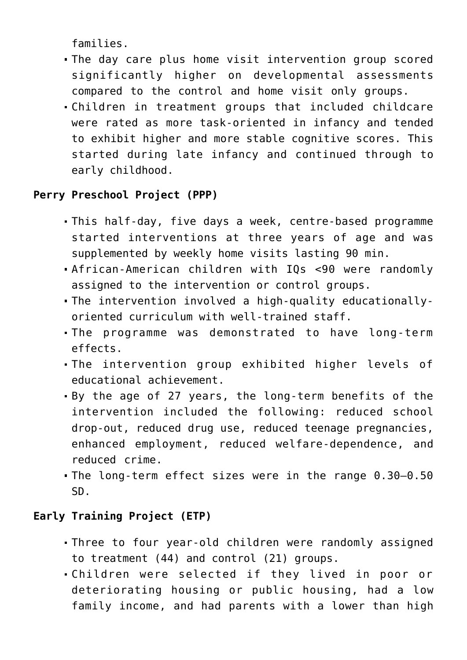families.

- The day care plus home visit intervention group scored significantly higher on developmental assessments compared to the control and home visit only groups.
- Children in treatment groups that included childcare were rated as more task-oriented in infancy and tended to exhibit higher and more stable cognitive scores. This started during late infancy and continued through to early childhood.

# **Perry Preschool Project (PPP)**

- This half-day, five days a week, centre-based programme started interventions at three years of age and was supplemented by weekly home visits lasting 90 min.
- African-American children with IQs <90 were randomly assigned to the intervention or control groups.
- The intervention involved a high-quality educationallyoriented curriculum with well-trained staff.
- The programme was demonstrated to have long-term effects.
- The intervention group exhibited higher levels of educational achievement.
- By the age of 27 years, the long-term benefits of the intervention included the following: reduced school drop-out, reduced drug use, reduced teenage pregnancies, enhanced employment, reduced welfare-dependence, and reduced crime.
- The long-term effect sizes were in the range 0.30–0.50 SD.

# **Early Training Project (ETP)**

- Three to four year-old children were randomly assigned to treatment (44) and control (21) groups.
- Children were selected if they lived in poor or deteriorating housing or public housing, had a low family income, and had parents with a lower than high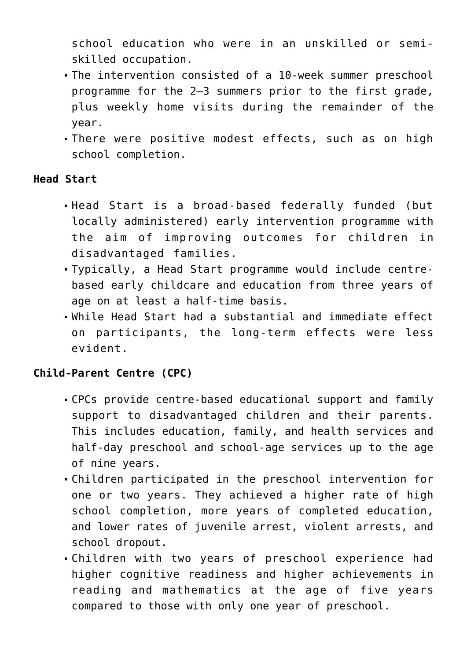school education who were in an unskilled or semiskilled occupation.

- The intervention consisted of a 10-week summer preschool programme for the 2–3 summers prior to the first grade, plus weekly home visits during the remainder of the year.
- There were positive modest effects, such as on high school completion.

#### **Head Start**

- Head Start is a broad-based federally funded (but locally administered) early intervention programme with the aim of improving outcomes for children in disadvantaged families.
- Typically, a Head Start programme would include centrebased early childcare and education from three years of age on at least a half-time basis.
- While Head Start had a substantial and immediate effect on participants, the long-term effects were less evident.

## **Child-Parent Centre (CPC)**

- CPCs provide centre-based educational support and family support to disadvantaged children and their parents. This includes education, family, and health services and half-day preschool and school-age services up to the age of nine years.
- Children participated in the preschool intervention for one or two years. They achieved a higher rate of high school completion, more years of completed education, and lower rates of juvenile arrest, violent arrests, and school dropout.
- Children with two years of preschool experience had higher cognitive readiness and higher achievements in reading and mathematics at the age of five years compared to those with only one year of preschool.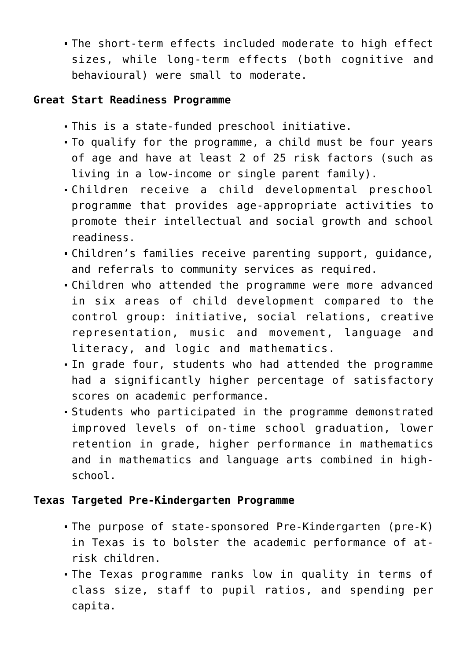The short-term effects included moderate to high effect sizes, while long-term effects (both cognitive and behavioural) were small to moderate.

#### **Great Start Readiness Programme**

- This is a state-funded preschool initiative.
- To qualify for the programme, a child must be four years of age and have at least 2 of 25 risk factors (such as living in a low-income or single parent family).
- Children receive a child developmental preschool programme that provides age-appropriate activities to promote their intellectual and social growth and school readiness.
- Children's families receive parenting support, guidance, and referrals to community services as required.
- Children who attended the programme were more advanced in six areas of child development compared to the control group: initiative, social relations, creative representation, music and movement, language and literacy, and logic and mathematics.
- In grade four, students who had attended the programme had a significantly higher percentage of satisfactory scores on academic performance.
- Students who participated in the programme demonstrated improved levels of on-time school graduation, lower retention in grade, higher performance in mathematics and in mathematics and language arts combined in highschool.

## **Texas Targeted Pre-Kindergarten Programme**

- The purpose of state-sponsored Pre-Kindergarten (pre-K) in Texas is to bolster the academic performance of atrisk children.
- The Texas programme ranks low in quality in terms of class size, staff to pupil ratios, and spending per capita.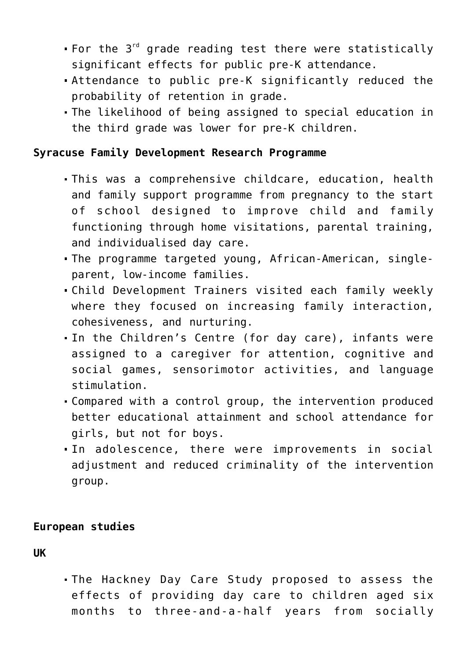- For the  $3^{rd}$  grade reading test there were statistically significant effects for public pre-K attendance.
- Attendance to public pre-K significantly reduced the probability of retention in grade.
- The likelihood of being assigned to special education in the third grade was lower for pre-K children.

#### **Syracuse Family Development Research Programme**

- This was a comprehensive childcare, education, health and family support programme from pregnancy to the start of school designed to improve child and family functioning through home visitations, parental training, and individualised day care.
- The programme targeted young, African-American, singleparent, low-income families.
- Child Development Trainers visited each family weekly where they focused on increasing family interaction, cohesiveness, and nurturing.
- In the Children's Centre (for day care), infants were assigned to a caregiver for attention, cognitive and social games, sensorimotor activities, and language stimulation.
- Compared with a control group, the intervention produced better educational attainment and school attendance for girls, but not for boys.
- In adolescence, there were improvements in social adjustment and reduced criminality of the intervention group.

#### **European studies**

**UK**

The Hackney Day Care Study proposed to assess the effects of providing day care to children aged six months to three-and-a-half years from socially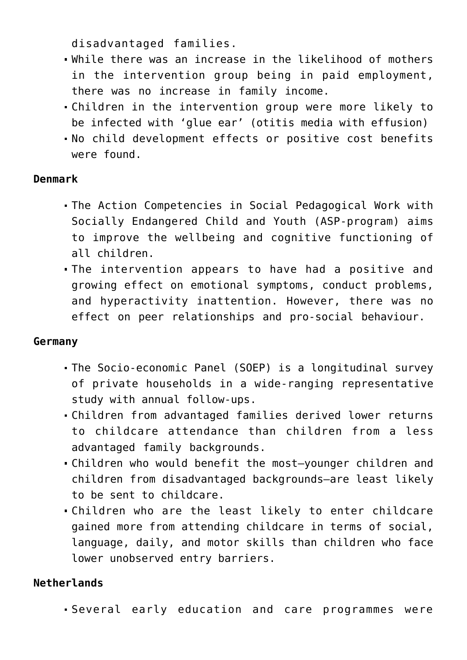disadvantaged families.

- While there was an increase in the likelihood of mothers in the intervention group being in paid employment, there was no increase in family income.
- Children in the intervention group were more likely to be infected with 'glue ear' (otitis media with effusion)
- No child development effects or positive cost benefits were found.

## **Denmark**

- The Action Competencies in Social Pedagogical Work with Socially Endangered Child and Youth (ASP-program) aims to improve the wellbeing and cognitive functioning of all children.
- The intervention appears to have had a positive and growing effect on emotional symptoms, conduct problems, and hyperactivity inattention. However, there was no effect on peer relationships and pro-social behaviour.

#### **Germany**

- The Socio-economic Panel (SOEP) is a longitudinal survey of private households in a wide-ranging representative study with annual follow-ups.
- Children from advantaged families derived lower returns to childcare attendance than children from a less advantaged family backgrounds.
- Children who would benefit the most—younger children and children from disadvantaged backgrounds—are least likely to be sent to childcare.
- Children who are the least likely to enter childcare gained more from attending childcare in terms of social, language, daily, and motor skills than children who face lower unobserved entry barriers.

# **Netherlands**

Several early education and care programmes were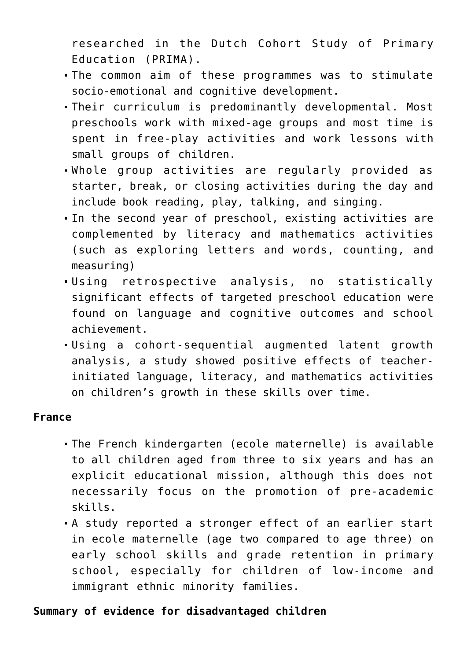researched in the Dutch Cohort Study of Primary Education (PRIMA).

- The common aim of these programmes was to stimulate socio-emotional and cognitive development.
- Their curriculum is predominantly developmental. Most preschools work with mixed-age groups and most time is spent in free-play activities and work lessons with small groups of children.
- Whole group activities are regularly provided as starter, break, or closing activities during the day and include book reading, play, talking, and singing.
- In the second year of preschool, existing activities are complemented by literacy and mathematics activities (such as exploring letters and words, counting, and measuring)
- Using retrospective analysis, no statistically significant effects of targeted preschool education were found on language and cognitive outcomes and school achievement.
- Using a cohort-sequential augmented latent growth analysis, a study showed positive effects of teacherinitiated language, literacy, and mathematics activities on children's growth in these skills over time.

#### **France**

- The French kindergarten (ecole maternelle) is available to all children aged from three to six years and has an explicit educational mission, although this does not necessarily focus on the promotion of pre-academic skills.
- A study reported a stronger effect of an earlier start in ecole maternelle (age two compared to age three) on early school skills and grade retention in primary school, especially for children of low-income and immigrant ethnic minority families.

#### **Summary of evidence for disadvantaged children**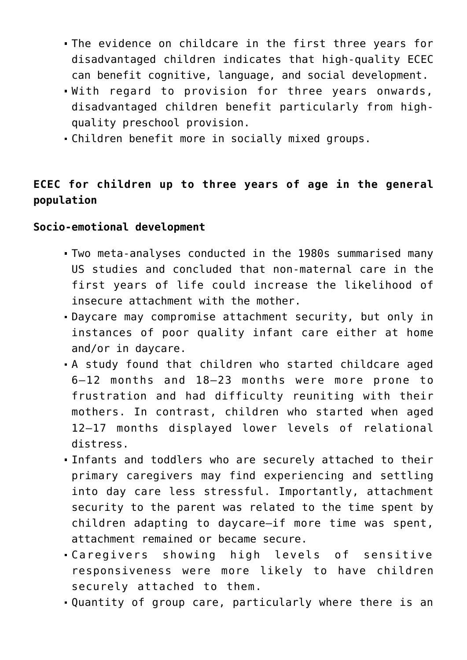- The evidence on childcare in the first three years for disadvantaged children indicates that high-quality ECEC can benefit cognitive, language, and social development.
- With regard to provision for three years onwards, disadvantaged children benefit particularly from highquality preschool provision.
- Children benefit more in socially mixed groups.

# **ECEC for children up to three years of age in the general population**

**Socio-emotional development**

- Two meta-analyses conducted in the 1980s summarised many US studies and concluded that non-maternal care in the first years of life could increase the likelihood of insecure attachment with the mother.
- Daycare may compromise attachment security, but only in instances of poor quality infant care either at home and/or in daycare.
- A study found that children who started childcare aged 6–12 months and 18–23 months were more prone to frustration and had difficulty reuniting with their mothers. In contrast, children who started when aged 12–17 months displayed lower levels of relational distress.
- Infants and toddlers who are securely attached to their primary caregivers may find experiencing and settling into day care less stressful. Importantly, attachment security to the parent was related to the time spent by children adapting to daycare—if more time was spent, attachment remained or became secure.
- Caregivers showing high levels of sensitive responsiveness were more likely to have children securely attached to them.
- Quantity of group care, particularly where there is an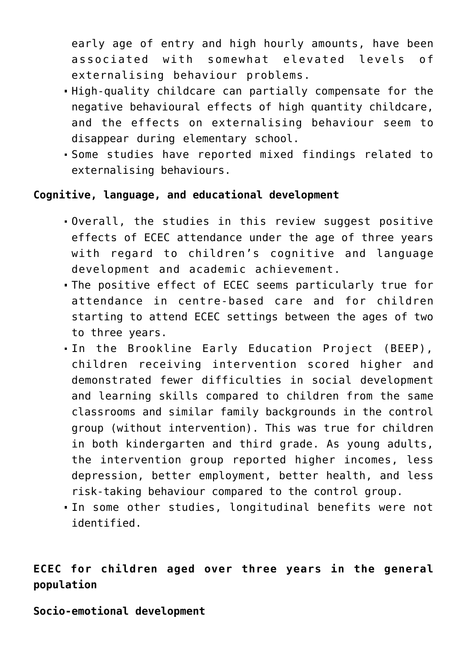early age of entry and high hourly amounts, have been associated with somewhat elevated levels of externalising behaviour problems.

- High-quality childcare can partially compensate for the negative behavioural effects of high quantity childcare, and the effects on externalising behaviour seem to disappear during elementary school.
- Some studies have reported mixed findings related to externalising behaviours.

#### **Cognitive, language, and educational development**

- Overall, the studies in this review suggest positive effects of ECEC attendance under the age of three years with regard to children's cognitive and language development and academic achievement.
- The positive effect of ECEC seems particularly true for attendance in centre-based care and for children starting to attend ECEC settings between the ages of two to three years.
- In the Brookline Early Education Project (BEEP), children receiving intervention scored higher and demonstrated fewer difficulties in social development and learning skills compared to children from the same classrooms and similar family backgrounds in the control group (without intervention). This was true for children in both kindergarten and third grade. As young adults, the intervention group reported higher incomes, less depression, better employment, better health, and less risk-taking behaviour compared to the control group.
- In some other studies, longitudinal benefits were not identified.

# **ECEC for children aged over three years in the general population**

**Socio-emotional development**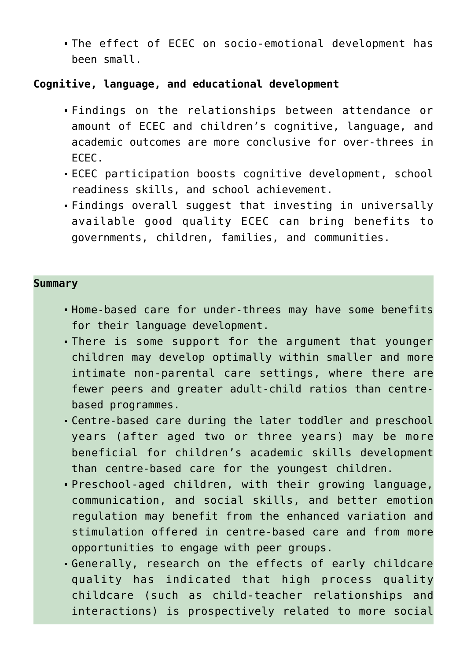The effect of ECEC on socio-emotional development has been small.

#### **Cognitive, language, and educational development**

- Findings on the relationships between attendance or amount of ECEC and children's cognitive, language, and academic outcomes are more conclusive for over-threes in ECEC.
- ECEC participation boosts cognitive development, school readiness skills, and school achievement.
- Findings overall suggest that investing in universally available good quality ECEC can bring benefits to governments, children, families, and communities.

#### **Summary**

- Home-based care for under-threes may have some benefits for their language development.
- There is some support for the argument that younger children may develop optimally within smaller and more intimate non-parental care settings, where there are fewer peers and greater adult-child ratios than centrebased programmes.
- Centre-based care during the later toddler and preschool years (after aged two or three years) may be more beneficial for children's academic skills development than centre-based care for the youngest children.
- Preschool-aged children, with their growing language, communication, and social skills, and better emotion regulation may benefit from the enhanced variation and stimulation offered in centre-based care and from more opportunities to engage with peer groups.
- Generally, research on the effects of early childcare quality has indicated that high process quality childcare (such as child-teacher relationships and interactions) is prospectively related to more social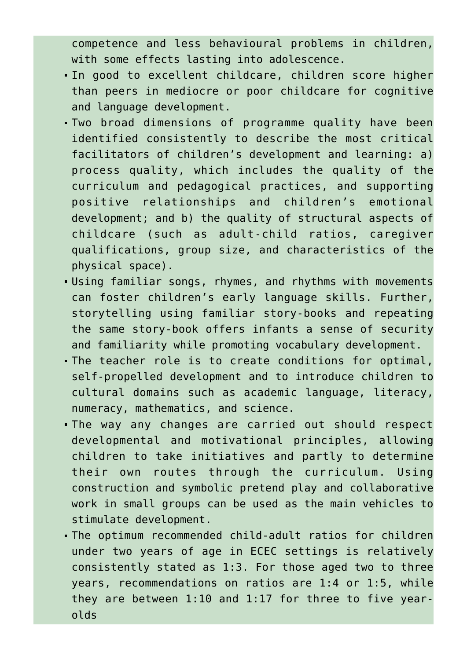competence and less behavioural problems in children, with some effects lasting into adolescence.

- In good to excellent childcare, children score higher than peers in mediocre or poor childcare for cognitive and language development.
- Two broad dimensions of programme quality have been identified consistently to describe the most critical facilitators of children's development and learning: a) process quality, which includes the quality of the curriculum and pedagogical practices, and supporting positive relationships and children's emotional development; and b) the quality of structural aspects of childcare (such as adult-child ratios, caregiver qualifications, group size, and characteristics of the physical space).
- Using familiar songs, rhymes, and rhythms with movements can foster children's early language skills. Further, storytelling using familiar story-books and repeating the same story-book offers infants a sense of security and familiarity while promoting vocabulary development.
- The teacher role is to create conditions for optimal, self-propelled development and to introduce children to cultural domains such as academic language, literacy, numeracy, mathematics, and science.
- The way any changes are carried out should respect developmental and motivational principles, allowing children to take initiatives and partly to determine their own routes through the curriculum. Using construction and symbolic pretend play and collaborative work in small groups can be used as the main vehicles to stimulate development.
- The optimum recommended child-adult ratios for children under two years of age in ECEC settings is relatively consistently stated as 1:3. For those aged two to three years, recommendations on ratios are 1:4 or 1:5, while they are between 1:10 and 1:17 for three to five yearolds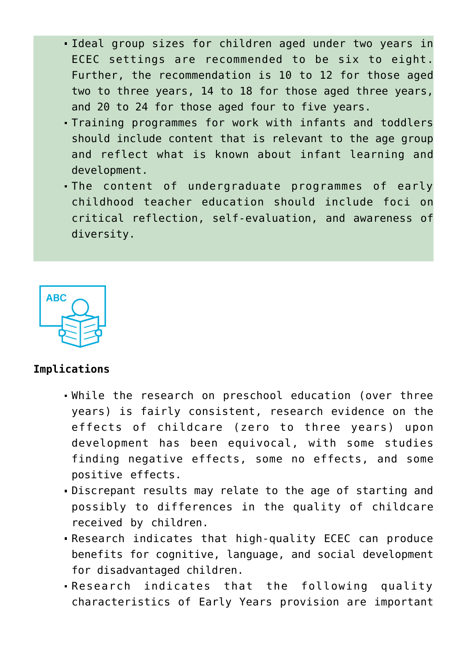- Ideal group sizes for children aged under two years in ECEC settings are recommended to be six to eight. Further, the recommendation is 10 to 12 for those aged two to three years, 14 to 18 for those aged three years, and 20 to 24 for those aged four to five years.
- Training programmes for work with infants and toddlers should include content that is relevant to the age group and reflect what is known about infant learning and development.
- The content of undergraduate programmes of early childhood teacher education should include foci on critical reflection, self-evaluation, and awareness of diversity.



## **Implications**

- While the research on preschool education (over three years) is fairly consistent, research evidence on the effects of childcare (zero to three years) upon development has been equivocal, with some studies finding negative effects, some no effects, and some positive effects.
- Discrepant results may relate to the age of starting and possibly to differences in the quality of childcare received by children.
- Research indicates that high-quality ECEC can produce benefits for cognitive, language, and social development for disadvantaged children.
- Research indicates that the following quality characteristics of Early Years provision are important